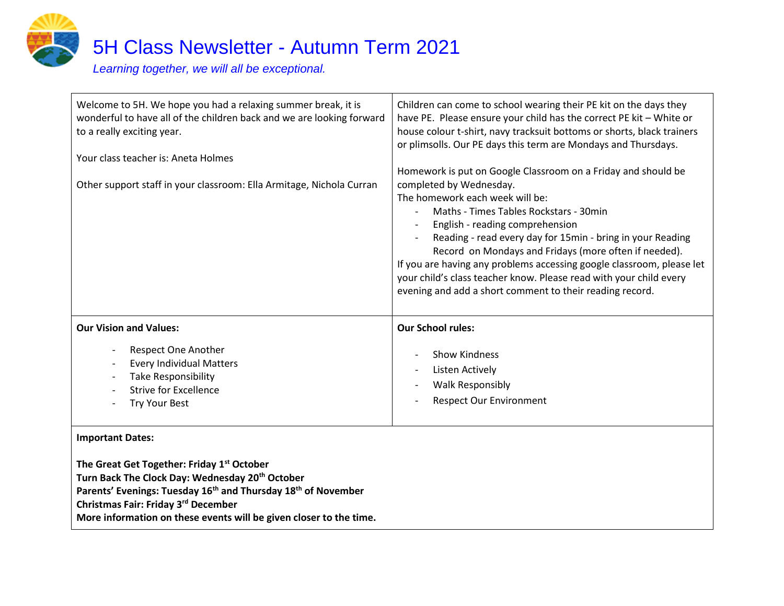

## 5H Class Newsletter - Autumn Term 2021

*Learning together, we will all be exceptional.*

| Welcome to 5H. We hope you had a relaxing summer break, it is<br>wonderful to have all of the children back and we are looking forward<br>to a really exciting year.<br>Your class teacher is: Aneta Holmes<br>Other support staff in your classroom: Ella Armitage, Nichola Curran                                                        | Children can come to school wearing their PE kit on the days they<br>have PE. Please ensure your child has the correct PE kit - White or<br>house colour t-shirt, navy tracksuit bottoms or shorts, black trainers<br>or plimsolls. Our PE days this term are Mondays and Thursdays.<br>Homework is put on Google Classroom on a Friday and should be<br>completed by Wednesday.<br>The homework each week will be:<br>Maths - Times Tables Rockstars - 30min<br>English - reading comprehension<br>Reading - read every day for 15min - bring in your Reading<br>Record on Mondays and Fridays (more often if needed).<br>If you are having any problems accessing google classroom, please let<br>your child's class teacher know. Please read with your child every<br>evening and add a short comment to their reading record. |
|--------------------------------------------------------------------------------------------------------------------------------------------------------------------------------------------------------------------------------------------------------------------------------------------------------------------------------------------|------------------------------------------------------------------------------------------------------------------------------------------------------------------------------------------------------------------------------------------------------------------------------------------------------------------------------------------------------------------------------------------------------------------------------------------------------------------------------------------------------------------------------------------------------------------------------------------------------------------------------------------------------------------------------------------------------------------------------------------------------------------------------------------------------------------------------------|
| <b>Our Vision and Values:</b><br>Respect One Another<br><b>Every Individual Matters</b><br><b>Take Responsibility</b><br><b>Strive for Excellence</b><br>Try Your Best                                                                                                                                                                     | <b>Our School rules:</b><br><b>Show Kindness</b><br>Listen Actively<br><b>Walk Responsibly</b><br><b>Respect Our Environment</b>                                                                                                                                                                                                                                                                                                                                                                                                                                                                                                                                                                                                                                                                                                   |
| <b>Important Dates:</b><br>The Great Get Together: Friday 1st October<br>Turn Back The Clock Day: Wednesday 20 <sup>th</sup> October<br>Parents' Evenings: Tuesday 16 <sup>th</sup> and Thursday 18 <sup>th</sup> of November<br>Christmas Fair: Friday 3rd December<br>More information on these events will be given closer to the time. |                                                                                                                                                                                                                                                                                                                                                                                                                                                                                                                                                                                                                                                                                                                                                                                                                                    |